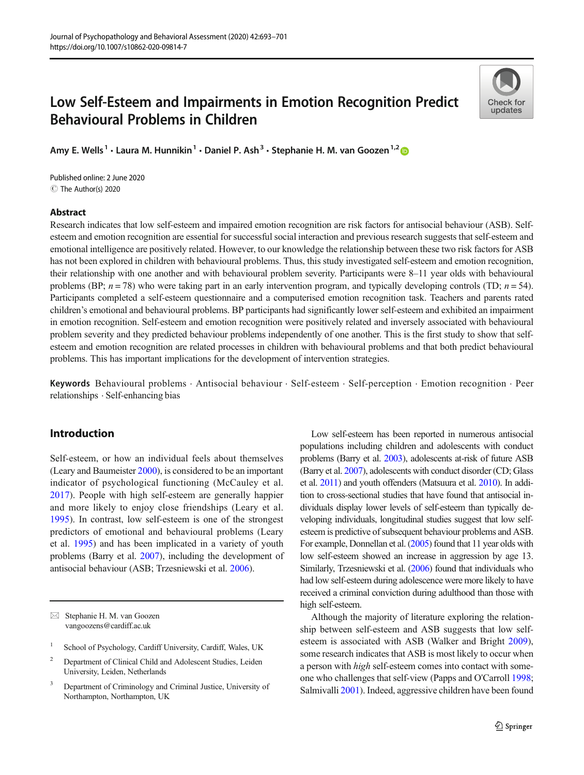# Low Self-Esteem and Impairments in Emotion Recognition Predict Behavioural Problems in Children



Amy E. Wells<sup>1</sup> · Laura M. Hunnikin<sup>1</sup> · Daniel P. Ash<sup>3</sup> · Stephanie H. M. van Goozen<sup>1,2</sup>

C The Author(s) 2020 Published online: 2 June 2020

## Abstract

Research indicates that low self-esteem and impaired emotion recognition are risk factors for antisocial behaviour (ASB). Selfesteem and emotion recognition are essential for successful social interaction and previous research suggests that self-esteem and emotional intelligence are positively related. However, to our knowledge the relationship between these two risk factors for ASB has not been explored in children with behavioural problems. Thus, this study investigated self-esteem and emotion recognition, their relationship with one another and with behavioural problem severity. Participants were 8–11 year olds with behavioural problems (BP;  $n = 78$ ) who were taking part in an early intervention program, and typically developing controls (TD;  $n = 54$ ). Participants completed a self-esteem questionnaire and a computerised emotion recognition task. Teachers and parents rated children's emotional and behavioural problems. BP participants had significantly lower self-esteem and exhibited an impairment in emotion recognition. Self-esteem and emotion recognition were positively related and inversely associated with behavioural problem severity and they predicted behaviour problems independently of one another. This is the first study to show that selfesteem and emotion recognition are related processes in children with behavioural problems and that both predict behavioural problems. This has important implications for the development of intervention strategies.

Keywords Behavioural problems . Antisocial behaviour . Self-esteem . Self-perception . Emotion recognition . Peer relationships . Self-enhancing bias

# Introduction

Self-esteem, or how an individual feels about themselves (Leary and Baumeister [2000](#page-7-0)), is considered to be an important indicator of psychological functioning (McCauley et al. [2017](#page-7-0)). People with high self-esteem are generally happier and more likely to enjoy close friendships (Leary et al. [1995\)](#page-7-0). In contrast, low self-esteem is one of the strongest predictors of emotional and behavioural problems (Leary et al. [1995\)](#page-7-0) and has been implicated in a variety of youth problems (Barry et al. [2007](#page-6-0)), including the development of antisocial behaviour (ASB; Trzesniewski et al. [2006](#page-7-0)).

- <sup>1</sup> School of Psychology, Cardiff University, Cardiff, Wales, UK
- <sup>2</sup> Department of Clinical Child and Adolescent Studies, Leiden University, Leiden, Netherlands
- <sup>3</sup> Department of Criminology and Criminal Justice, University of Northampton, Northampton, UK

Low self-esteem has been reported in numerous antisocial populations including children and adolescents with conduct problems (Barry et al. [2003\)](#page-6-0), adolescents at-risk of future ASB (Barry et al. [2007\)](#page-6-0), adolescents with conduct disorder (CD; Glass et al. [2011\)](#page-7-0) and youth offenders (Matsuura et al. [2010](#page-7-0)). In addition to cross-sectional studies that have found that antisocial individuals display lower levels of self-esteem than typically developing individuals, longitudinal studies suggest that low selfesteem is predictive of subsequent behaviour problems and ASB. For example, Donnellan et al. [\(2005\)](#page-7-0) found that 11 year olds with low self-esteem showed an increase in aggression by age 13. Similarly, Trzesniewski et al. [\(2006](#page-7-0)) found that individuals who had low self-esteem during adolescence were more likely to have received a criminal conviction during adulthood than those with high self-esteem.

Although the majority of literature exploring the relationship between self-esteem and ASB suggests that low selfesteem is associated with ASB (Walker and Bright [2009\)](#page-7-0), some research indicates that ASB is most likely to occur when a person with high self-esteem comes into contact with someone who challenges that self-view (Papps and O'Carroll [1998;](#page-7-0) Salmivalli [2001](#page-7-0)). Indeed, aggressive children have been found

 $\boxtimes$  Stephanie H. M. van Goozen [vangoozens@cardiff.ac.uk](mailto:vangoozens@cardiff.ac.uk)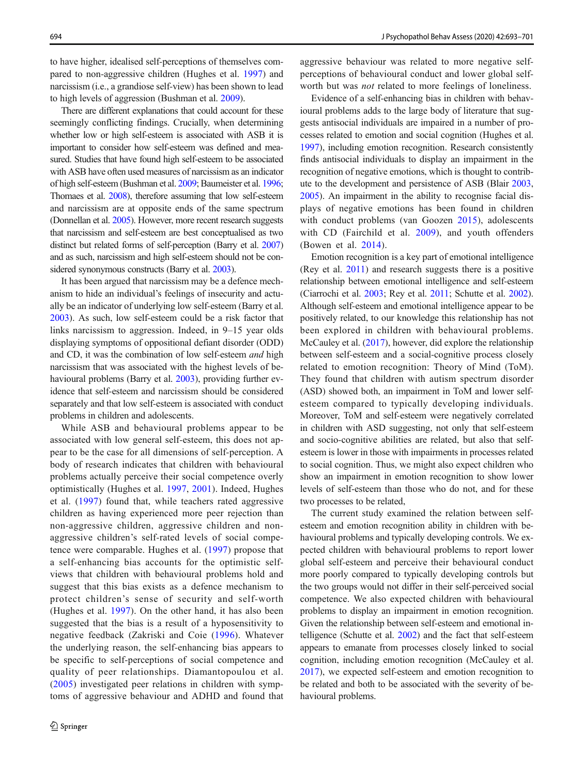to have higher, idealised self-perceptions of themselves compared to non-aggressive children (Hughes et al. [1997\)](#page-7-0) and narcissism (i.e., a grandiose self-view) has been shown to lead to high levels of aggression (Bushman et al. [2009\)](#page-6-0).

There are different explanations that could account for these seemingly conflicting findings. Crucially, when determining whether low or high self-esteem is associated with ASB it is important to consider how self-esteem was defined and measured. Studies that have found high self-esteem to be associated with ASB have often used measures of narcissism as an indicator of high self-esteem (Bushman et al. [2009](#page-6-0); Baumeister et al. [1996](#page-6-0); Thomaes et al. [2008\)](#page-7-0), therefore assuming that low self-esteem and narcissism are at opposite ends of the same spectrum (Donnellan et al. [2005](#page-7-0)). However, more recent research suggests that narcissism and self-esteem are best conceptualised as two distinct but related forms of self-perception (Barry et al. [2007\)](#page-6-0) and as such, narcissism and high self-esteem should not be considered synonymous constructs (Barry et al. [2003\)](#page-6-0).

It has been argued that narcissism may be a defence mechanism to hide an individual's feelings of insecurity and actually be an indicator of underlying low self-esteem (Barry et al. [2003\)](#page-6-0). As such, low self-esteem could be a risk factor that links narcissism to aggression. Indeed, in 9–15 year olds displaying symptoms of oppositional defiant disorder (ODD) and CD, it was the combination of low self-esteem and high narcissism that was associated with the highest levels of be-havioural problems (Barry et al. [2003\)](#page-6-0), providing further evidence that self-esteem and narcissism should be considered separately and that low self-esteem is associated with conduct problems in children and adolescents.

While ASB and behavioural problems appear to be associated with low general self-esteem, this does not appear to be the case for all dimensions of self-perception. A body of research indicates that children with behavioural problems actually perceive their social competence overly optimistically (Hughes et al. [1997](#page-7-0), [2001](#page-7-0)). Indeed, Hughes et al. ([1997](#page-7-0)) found that, while teachers rated aggressive children as having experienced more peer rejection than non-aggressive children, aggressive children and nonaggressive children's self-rated levels of social competence were comparable. Hughes et al. ([1997](#page-7-0)) propose that a self-enhancing bias accounts for the optimistic selfviews that children with behavioural problems hold and suggest that this bias exists as a defence mechanism to protect children's sense of security and self-worth (Hughes et al. [1997](#page-7-0)). On the other hand, it has also been suggested that the bias is a result of a hyposensitivity to negative feedback (Zakriski and Coie ([1996](#page-8-0)). Whatever the underlying reason, the self-enhancing bias appears to be specific to self-perceptions of social competence and quality of peer relationships. Diamantopoulou et al. [\(2005\)](#page-7-0) investigated peer relations in children with symptoms of aggressive behaviour and ADHD and found that

aggressive behaviour was related to more negative selfperceptions of behavioural conduct and lower global selfworth but was not related to more feelings of loneliness.

Evidence of a self-enhancing bias in children with behavioural problems adds to the large body of literature that suggests antisocial individuals are impaired in a number of processes related to emotion and social cognition (Hughes et al. [1997\)](#page-7-0), including emotion recognition. Research consistently finds antisocial individuals to display an impairment in the recognition of negative emotions, which is thought to contribute to the development and persistence of ASB (Blair [2003,](#page-6-0) [2005\)](#page-6-0). An impairment in the ability to recognise facial displays of negative emotions has been found in children with conduct problems (van Goozen [2015](#page-7-0)), adolescents with CD (Fairchild et al. [2009\)](#page-7-0), and youth offenders (Bowen et al. [2014](#page-6-0)).

Emotion recognition is a key part of emotional intelligence (Rey et al. [2011\)](#page-7-0) and research suggests there is a positive relationship between emotional intelligence and self-esteem (Ciarrochi et al. [2003](#page-7-0); Rey et al. [2011](#page-7-0); Schutte et al. [2002\)](#page-7-0). Although self-esteem and emotional intelligence appear to be positively related, to our knowledge this relationship has not been explored in children with behavioural problems. McCauley et al. [\(2017\)](#page-7-0), however, did explore the relationship between self-esteem and a social-cognitive process closely related to emotion recognition: Theory of Mind (ToM). They found that children with autism spectrum disorder (ASD) showed both, an impairment in ToM and lower selfesteem compared to typically developing individuals. Moreover, ToM and self-esteem were negatively correlated in children with ASD suggesting, not only that self-esteem and socio-cognitive abilities are related, but also that selfesteem is lower in those with impairments in processes related to social cognition. Thus, we might also expect children who show an impairment in emotion recognition to show lower levels of self-esteem than those who do not, and for these two processes to be related,

The current study examined the relation between selfesteem and emotion recognition ability in children with behavioural problems and typically developing controls. We expected children with behavioural problems to report lower global self-esteem and perceive their behavioural conduct more poorly compared to typically developing controls but the two groups would not differ in their self-perceived social competence. We also expected children with behavioural problems to display an impairment in emotion recognition. Given the relationship between self-esteem and emotional intelligence (Schutte et al. [2002](#page-7-0)) and the fact that self-esteem appears to emanate from processes closely linked to social cognition, including emotion recognition (McCauley et al. [2017\)](#page-7-0), we expected self-esteem and emotion recognition to be related and both to be associated with the severity of behavioural problems.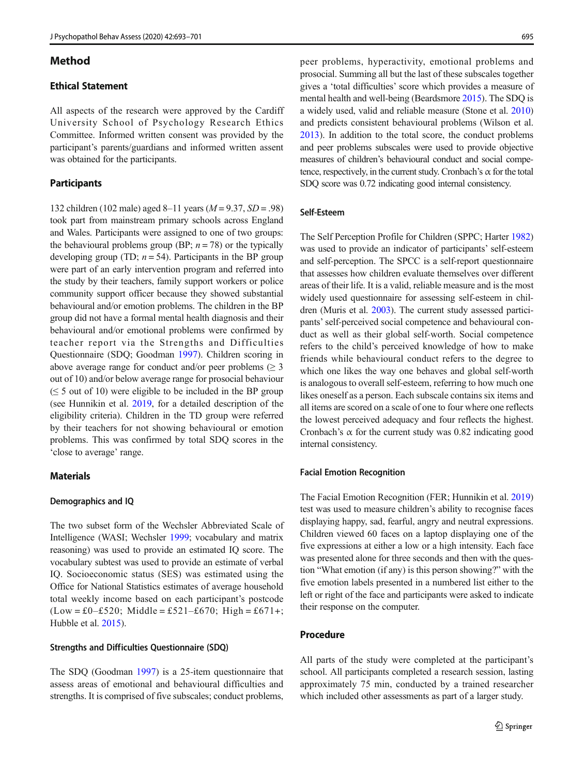#### Method

## Ethical Statement

All aspects of the research were approved by the Cardiff University School of Psychology Research Ethics Committee. Informed written consent was provided by the participant's parents/guardians and informed written assent was obtained for the participants.

#### **Participants**

132 children (102 male) aged 8–11 years ( $M = 9.37$ ,  $SD = .98$ ) took part from mainstream primary schools across England and Wales. Participants were assigned to one of two groups: the behavioural problems group (BP;  $n = 78$ ) or the typically developing group (TD;  $n = 54$ ). Participants in the BP group were part of an early intervention program and referred into the study by their teachers, family support workers or police community support officer because they showed substantial behavioural and/or emotion problems. The children in the BP group did not have a formal mental health diagnosis and their behavioural and/or emotional problems were confirmed by teacher report via the Strengths and Difficulties Questionnaire (SDQ; Goodman [1997](#page-7-0)). Children scoring in above average range for conduct and/or peer problems  $(\geq 3)$ out of 10) and/or below average range for prosocial behaviour  $(< 5$  out of 10) were eligible to be included in the BP group (see Hunnikin et al. [2019,](#page-7-0) for a detailed description of the eligibility criteria). Children in the TD group were referred by their teachers for not showing behavioural or emotion problems. This was confirmed by total SDQ scores in the 'close to average' range.

## **Materials**

#### Demographics and IQ

The two subset form of the Wechsler Abbreviated Scale of Intelligence (WASI; Wechsler [1999;](#page-7-0) vocabulary and matrix reasoning) was used to provide an estimated IQ score. The vocabulary subtest was used to provide an estimate of verbal IQ. Socioeconomic status (SES) was estimated using the Office for National Statistics estimates of average household total weekly income based on each participant's postcode  $(Low = £0 - £520$ ; Middle = £521-£670; High = £671+; Hubble et al. [2015](#page-7-0)).

#### Strengths and Difficulties Questionnaire (SDQ)

The SDQ (Goodman [1997\)](#page-7-0) is a 25-item questionnaire that assess areas of emotional and behavioural difficulties and strengths. It is comprised of five subscales; conduct problems,

peer problems, hyperactivity, emotional problems and prosocial. Summing all but the last of these subscales together gives a 'total difficulties' score which provides a measure of mental health and well-being (Beardsmore [2015](#page-6-0)). The SDQ is a widely used, valid and reliable measure (Stone et al. [2010](#page-7-0)) and predicts consistent behavioural problems (Wilson et al. [2013\)](#page-8-0). In addition to the total score, the conduct problems and peer problems subscales were used to provide objective measures of children's behavioural conduct and social competence, respectively, in the current study. Cronbach's  $\alpha$  for the total SDQ score was 0.72 indicating good internal consistency.

#### Self-Esteem

The Self Perception Profile for Children (SPPC; Harter [1982](#page-7-0)) was used to provide an indicator of participants' self-esteem and self-perception. The SPCC is a self-report questionnaire that assesses how children evaluate themselves over different areas of their life. It is a valid, reliable measure and is the most widely used questionnaire for assessing self-esteem in children (Muris et al. [2003\)](#page-7-0). The current study assessed participants' self-perceived social competence and behavioural conduct as well as their global self-worth. Social competence refers to the child's perceived knowledge of how to make friends while behavioural conduct refers to the degree to which one likes the way one behaves and global self-worth is analogous to overall self-esteem, referring to how much one likes oneself as a person. Each subscale contains six items and all items are scored on a scale of one to four where one reflects the lowest perceived adequacy and four reflects the highest. Cronbach's  $\alpha$  for the current study was 0.82 indicating good internal consistency.

#### Facial Emotion Recognition

The Facial Emotion Recognition (FER; Hunnikin et al. [2019](#page-7-0)) test was used to measure children's ability to recognise faces displaying happy, sad, fearful, angry and neutral expressions. Children viewed 60 faces on a laptop displaying one of the five expressions at either a low or a high intensity. Each face was presented alone for three seconds and then with the question "What emotion (if any) is this person showing?" with the five emotion labels presented in a numbered list either to the left or right of the face and participants were asked to indicate their response on the computer.

## Procedure

All parts of the study were completed at the participant's school. All participants completed a research session, lasting approximately 75 min, conducted by a trained researcher which included other assessments as part of a larger study.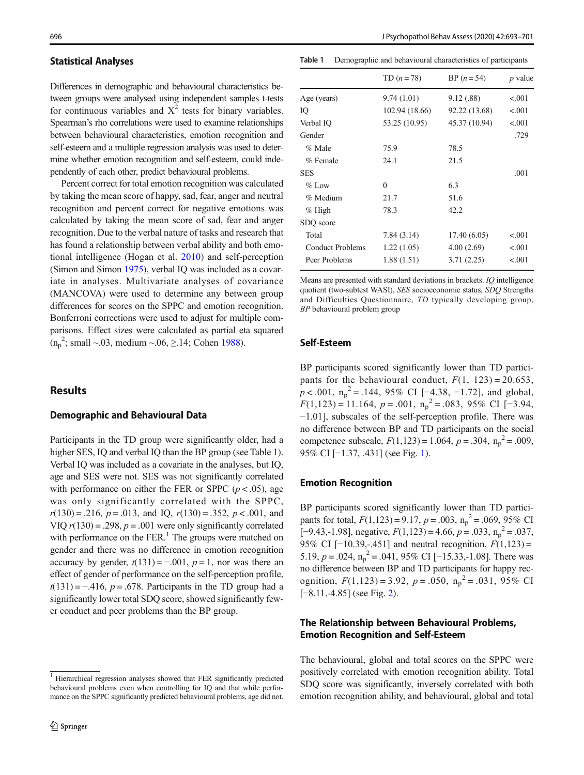#### Statistical Analyses

Differences in demographic and behavioural characteristics between groups were analysed using independent samples t-tests for continuous variables and  $X^2$  tests for binary variables. Spearman's rho correlations were used to examine relationships between behavioural characteristics, emotion recognition and self-esteem and a multiple regression analysis was used to determine whether emotion recognition and self-esteem, could independently of each other, predict behavioural problems.

Percent correct for total emotion recognition was calculated by taking the mean score of happy, sad, fear, anger and neutral recognition and percent correct for negative emotions was calculated by taking the mean score of sad, fear and anger recognition. Due to the verbal nature of tasks and research that has found a relationship between verbal ability and both emotional intelligence (Hogan et al. [2010\)](#page-7-0) and self-perception (Simon and Simon [1975](#page-7-0)), verbal IQ was included as a covariate in analyses. Multivariate analyses of covariance (MANCOVA) were used to determine any between group differences for scores on the SPPC and emotion recognition. Bonferroni corrections were used to adjust for multiple comparisons. Effect sizes were calculated as partial eta squared  $(n_p^2; small \sim 0.03, medium \sim 0.06, \ge 1.14; Cohen 1988).$  $(n_p^2; small \sim 0.03, medium \sim 0.06, \ge 1.14; Cohen 1988).$  $(n_p^2; small \sim 0.03, medium \sim 0.06, \ge 1.14; Cohen 1988).$ 

## **Results**

#### Demographic and Behavioural Data

Participants in the TD group were significantly older, had a higher SES, IQ and verbal IQ than the BP group (see Table 1). Verbal IQ was included as a covariate in the analyses, but IQ, age and SES were not. SES was not significantly correlated with performance on either the FER or SPPC  $(p < .05)$ , age was only significantly correlated with the SPPC,  $r(130) = .216$ ,  $p = .013$ , and IQ,  $r(130) = .352$ ,  $p < .001$ , and VIQ  $r(130) = .298$ ,  $p = .001$  were only significantly correlated with performance on the  $FER<sup>1</sup>$ . The groups were matched on gender and there was no difference in emotion recognition accuracy by gender,  $t(131) = -.001$ ,  $p = 1$ , nor was there an effect of gender of performance on the self-perception profile,  $t(131) = -.416$ ,  $p = .678$ . Participants in the TD group had a significantly lower total SDQ score, showed significantly fewer conduct and peer problems than the BP group.

Table 1 Demographic and behavioural characteristics of participants

|                         | TD $(n = 78)$  | $BP (n = 54)$ | <i>p</i> value |
|-------------------------|----------------|---------------|----------------|
| Age (years)             | 9.74(1.01)     | 9.12 (.88)    | < .001         |
| Ю                       | 102.94 (18.66) | 92.22 (13.68) | < 0.001        |
| Verbal IQ               | 53.25 (10.95)  | 45.37 (10.94) | < 0.001        |
| Gender                  |                |               | .729           |
| $\%$ Male               | 75.9           | 78.5          |                |
| % Female                | 24.1           | 21.5          |                |
| <b>SES</b>              |                |               | .001           |
| $%$ Low                 | $\Omega$       | 6.3           |                |
| % Medium                | 21.7           | 51.6          |                |
| $%$ High                | 78.3           | 42.2          |                |
| SDQ score               |                |               |                |
| Total                   | 7.84(3.14)     | 17.40 (6.05)  | < 0.001        |
| <b>Conduct Problems</b> | 1.22(1.05)     | 4.00(2.69)    | < 0.001        |
| Peer Problems           | 1.88(1.51)     | 3.71(2.25)    | < .001         |
|                         |                |               |                |

Means are presented with standard deviations in brackets. IQ intelligence quotient (two-subtest WASI), SES socioeconomic status, SDQ Strengths and Difficulties Questionnaire, TD typically developing group, BP behavioural problem group

#### Self-Esteem

BP participants scored significantly lower than TD participants for the behavioural conduct,  $F(1, 123) = 20.653$ ,  $p < .001$ ,  $n_p^2 = .144$ , 95% CI [-4.38, -1.72], and global,  $F(1,123) = 11.164$ ,  $p = .001$ ,  $n_p^2 = .083$ , 95% CI [-3.94, −1.01], subscales of the self-perception profile. There was no difference between BP and TD participants on the social competence subscale,  $F(1,123) = 1.064$ ,  $p = .304$ ,  $n_p^2 = .009$ , 95% CI [-1.37, .431] (see Fig. [1\)](#page-4-0).

## Emotion Recognition

BP participants scored significantly lower than TD participants for total,  $F(1,123) = 9.17$ ,  $p = .003$ ,  $n_p^2 = .069$ , 95% CI [-9.43,-1.98], negative,  $F(1,123) = 4.66$ ,  $p = .033$ ,  $n_p^2 = .037$ , 95% CI [−10.39,-.451] and neutral recognition,  $F(1,123) =$ 5.19,  $p = .024$ ,  $n_p^2 = .041$ , 95% CI [-15.33,-1.08]. There was no difference between BP and TD participants for happy recognition,  $F(1,123) = 3.92$ ,  $p = .050$ ,  $n_p^2 = .031$ , 95% CI [−8.11,-4.85] (see Fig. [2\)](#page-5-0).

## The Relationship between Behavioural Problems, Emotion Recognition and Self-Esteem

The behavioural, global and total scores on the SPPC were positively correlated with emotion recognition ability. Total SDQ score was significantly, inversely correlated with both emotion recognition ability, and behavioural, global and total

<sup>&</sup>lt;sup>1</sup> Hierarchical regression analyses showed that FER significantly predicted behavioural problems even when controlling for IQ and that while performance on the SPPC significantly predicted behavioural problems, age did not.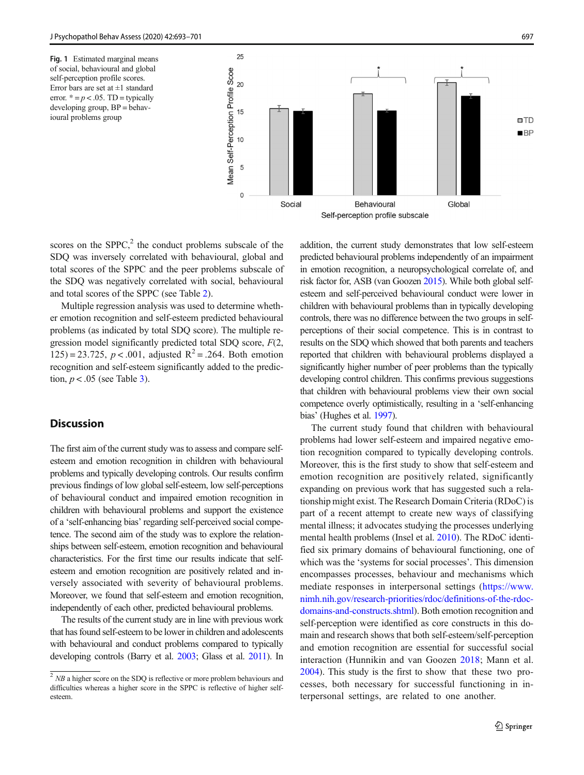<span id="page-4-0"></span>Fig. 1 Estimated marginal means of social, behavioural and global self-perception profile scores. Error bars are set at  $\pm 1$  standard error.  $* = p < .05$ . TD = typically developing group, BP = behavioural problems group



scores on the SPPC $^2$ , the conduct problems subscale of the SDQ was inversely correlated with behavioural, global and total scores of the SPPC and the peer problems subscale of the SDQ was negatively correlated with social, behavioural and total scores of the SPPC (see Table [2\)](#page-5-0).

Multiple regression analysis was used to determine whether emotion recognition and self-esteem predicted behavioural problems (as indicated by total SDQ score). The multiple regression model significantly predicted total SDQ score, F(2, 125) = 23.725,  $p < .001$ , adjusted R<sup>2</sup> = .264. Both emotion recognition and self-esteem significantly added to the prediction,  $p < .05$  (see Table [3](#page-6-0)).

# **Discussion**

The first aim of the current study was to assess and compare selfesteem and emotion recognition in children with behavioural problems and typically developing controls. Our results confirm previous findings of low global self-esteem, low self-perceptions of behavioural conduct and impaired emotion recognition in children with behavioural problems and support the existence of a 'self-enhancing bias' regarding self-perceived social competence. The second aim of the study was to explore the relationships between self-esteem, emotion recognition and behavioural characteristics. For the first time our results indicate that selfesteem and emotion recognition are positively related and inversely associated with severity of behavioural problems. Moreover, we found that self-esteem and emotion recognition, independently of each other, predicted behavioural problems.

The results of the current study are in line with previous work that has found self-esteem to be lower in children and adolescents with behavioural and conduct problems compared to typically developing controls (Barry et al. [2003;](#page-6-0) Glass et al. [2011](#page-7-0)). In addition, the current study demonstrates that low self-esteem predicted behavioural problems independently of an impairment in emotion recognition, a neuropsychological correlate of, and risk factor for, ASB (van Goozen [2015\)](#page-7-0). While both global selfesteem and self-perceived behavioural conduct were lower in children with behavioural problems than in typically developing controls, there was no difference between the two groups in selfperceptions of their social competence. This is in contrast to results on the SDQ which showed that both parents and teachers reported that children with behavioural problems displayed a significantly higher number of peer problems than the typically developing control children. This confirms previous suggestions that children with behavioural problems view their own social competence overly optimistically, resulting in a 'self-enhancing bias' (Hughes et al. [1997\)](#page-7-0).

The current study found that children with behavioural problems had lower self-esteem and impaired negative emotion recognition compared to typically developing controls. Moreover, this is the first study to show that self-esteem and emotion recognition are positively related, significantly expanding on previous work that has suggested such a relationship might exist. The Research Domain Criteria (RDoC) is part of a recent attempt to create new ways of classifying mental illness; it advocates studying the processes underlying mental health problems (Insel et al. [2010](#page-7-0)). The RDoC identified six primary domains of behavioural functioning, one of which was the 'systems for social processes'. This dimension encompasses processes, behaviour and mechanisms which mediate responses in interpersonal settings [\(https://www.](http://creativecommons.org/licenses/by/4.0/) [nimh.nih.gov/research-priorities/rdoc/definitions-of-the-rdoc](http://creativecommons.org/licenses/by/4.0/)[domains-and-constructs.shtml](http://creativecommons.org/licenses/by/4.0/)). Both emotion recognition and self-perception were identified as core constructs in this domain and research shows that both self-esteem/self-perception and emotion recognition are essential for successful social interaction (Hunnikin and van Goozen [2018;](#page-7-0) Mann et al. [2004\)](#page-7-0). This study is the first to show that these two processes, both necessary for successful functioning in interpersonal settings, are related to one another.

 $2$  NB a higher score on the SDQ is reflective or more problem behaviours and difficulties whereas a higher score in the SPPC is reflective of higher selfesteem.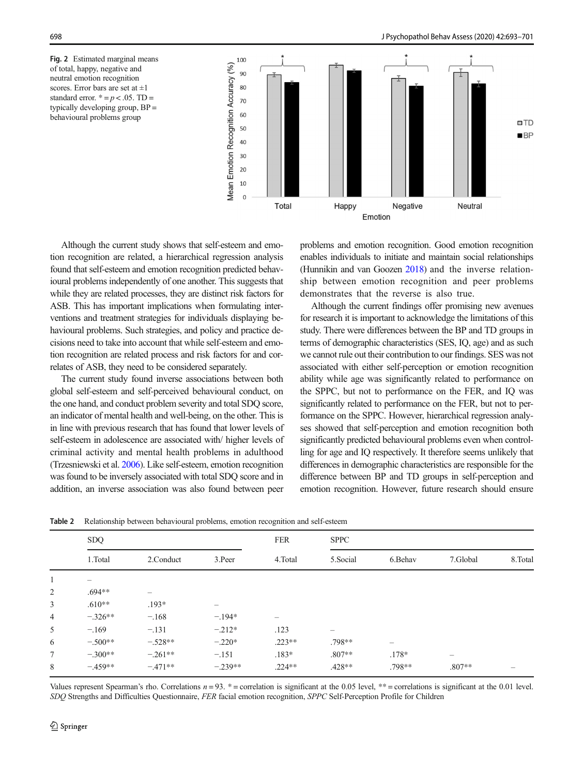<span id="page-5-0"></span>Fig. 2 Estimated marginal means of total, happy, negative and neutral emotion recognition scores. Error bars are set at  $\pm 1$ standard error.  $* = p < .05$ . TD = typically developing group, BP = behavioural problems group



Although the current study shows that self-esteem and emotion recognition are related, a hierarchical regression analysis found that self-esteem and emotion recognition predicted behavioural problems independently of one another. This suggests that while they are related processes, they are distinct risk factors for ASB. This has important implications when formulating interventions and treatment strategies for individuals displaying behavioural problems. Such strategies, and policy and practice decisions need to take into account that while self-esteem and emotion recognition are related process and risk factors for and correlates of ASB, they need to be considered separately.

The current study found inverse associations between both global self-esteem and self-perceived behavioural conduct, on the one hand, and conduct problem severity and total SDQ score, an indicator of mental health and well-being, on the other. This is in line with previous research that has found that lower levels of self-esteem in adolescence are associated with/ higher levels of criminal activity and mental health problems in adulthood (Trzesniewski et al. [2006\)](#page-7-0). Like self-esteem, emotion recognition was found to be inversely associated with total SDQ score and in addition, an inverse association was also found between peer problems and emotion recognition. Good emotion recognition enables individuals to initiate and maintain social relationships (Hunnikin and van Goozen [2018](#page-7-0)) and the inverse relationship between emotion recognition and peer problems demonstrates that the reverse is also true.

Although the current findings offer promising new avenues for research it is important to acknowledge the limitations of this study. There were differences between the BP and TD groups in terms of demographic characteristics (SES, IQ, age) and as such we cannot rule out their contribution to our findings. SES was not associated with either self-perception or emotion recognition ability while age was significantly related to performance on the SPPC, but not to performance on the FER, and IQ was significantly related to performance on the FER, but not to performance on the SPPC. However, hierarchical regression analyses showed that self-perception and emotion recognition both significantly predicted behavioural problems even when controlling for age and IQ respectively. It therefore seems unlikely that differences in demographic characteristics are responsible for the difference between BP and TD groups in self-perception and emotion recognition. However, future research should ensure

|              | <b>SDQ</b> |                          | <b>FER</b> | <b>SPPC</b>              |           |                   |          |         |
|--------------|------------|--------------------------|------------|--------------------------|-----------|-------------------|----------|---------|
|              | 1.Total    | 2.Conduct                | 3.Peer     | 4.Total                  | 5. Social | 6.Behav           | 7.Global | 8.Total |
| $\mathbf{1}$ |            |                          |            |                          |           |                   |          |         |
| 2            | $.694**$   | $\overline{\phantom{0}}$ |            |                          |           |                   |          |         |
| 3            | $.610**$   | $.193*$                  | —          |                          |           |                   |          |         |
| 4            | $-.326**$  | $-.168$                  | $-.194*$   | $\overline{\phantom{m}}$ |           |                   |          |         |
| 5            | $-.169$    | $-.131$                  | $-.212*$   | .123                     |           |                   |          |         |
| 6            | $-.500**$  | $-.528**$                | $-.220*$   | $.223**$                 | $.798**$  | $\qquad \qquad -$ |          |         |
| 7            | $-.300**$  | $-.261**$                | $-.151$    | $.183*$                  | $.807**$  | $.178*$           |          |         |
| 8            | $-.459**$  | $-.471**$                | $-.239**$  | $.224**$                 | $.428**$  | .798**            | $.807**$ |         |

Table 2 Relationship between behavioural problems, emotion recognition and self-esteem

Values represent Spearman's rho. Correlations  $n = 93$ .  $* =$  correlation is significant at the 0.05 level,  $** =$  correlations is significant at the 0.01 level. SDQ Strengths and Difficulties Questionnaire, FER facial emotion recognition, SPPC Self-Perception Profile for Children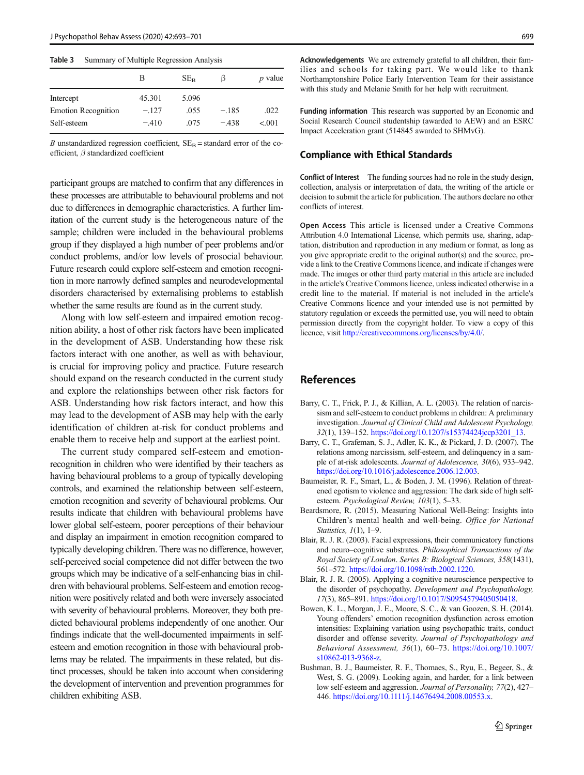#### <span id="page-6-0"></span>Table 3 Summary of Multiple Regression Analysis

|                            | В       | $SE_{B}$ | 13      | <i>p</i> value |
|----------------------------|---------|----------|---------|----------------|
| Intercept                  | 45.301  | 5.096    |         |                |
| <b>Emotion Recognition</b> | $-.127$ | .055     | $-.185$ | .022           |
| Self-esteem                | $-.410$ | .075     | $-438$  | < 0.001        |

B unstandardized regression coefficient,  $SE_B$  = standard error of the coefficient, β standardized coefficient

participant groups are matched to confirm that any differences in these processes are attributable to behavioural problems and not due to differences in demographic characteristics. A further limitation of the current study is the heterogeneous nature of the sample; children were included in the behavioural problems group if they displayed a high number of peer problems and/or conduct problems, and/or low levels of prosocial behaviour. Future research could explore self-esteem and emotion recognition in more narrowly defined samples and neurodevelopmental disorders characterised by externalising problems to establish whether the same results are found as in the current study.

Along with low self-esteem and impaired emotion recognition ability, a host of other risk factors have been implicated in the development of ASB. Understanding how these risk factors interact with one another, as well as with behaviour, is crucial for improving policy and practice. Future research should expand on the research conducted in the current study and explore the relationships between other risk factors for ASB. Understanding how risk factors interact, and how this may lead to the development of ASB may help with the early identification of children at-risk for conduct problems and enable them to receive help and support at the earliest point.

The current study compared self-esteem and emotionrecognition in children who were identified by their teachers as having behavioural problems to a group of typically developing controls, and examined the relationship between self-esteem, emotion recognition and severity of behavioural problems. Our results indicate that children with behavioural problems have lower global self-esteem, poorer perceptions of their behaviour and display an impairment in emotion recognition compared to typically developing children. There was no difference, however, self-perceived social competence did not differ between the two groups which may be indicative of a self-enhancing bias in children with behavioural problems. Self-esteem and emotion recognition were positively related and both were inversely associated with severity of behavioural problems. Moreover, they both predicted behavioural problems independently of one another. Our findings indicate that the well-documented impairments in selfesteem and emotion recognition in those with behavioural problems may be related. The impairments in these related, but distinct processes, should be taken into account when considering the development of intervention and prevention programmes for children exhibiting ASB.

Acknowledgements We are extremely grateful to all children, their families and schools for taking part. We would like to thank Northamptonshire Police Early Intervention Team for their assistance with this study and Melanie Smith for her help with recruitment.

Funding information This research was supported by an Economic and Social Research Council studentship (awarded to AEW) and an ESRC Impact Acceleration grant (514845 awarded to SHMvG).

#### Compliance with Ethical Standards

Conflict of Interest The funding sources had no role in the study design, collection, analysis or interpretation of data, the writing of the article or decision to submit the article for publication. The authors declare no other conflicts of interest.

Open Access This article is licensed under a Creative Commons Attribution 4.0 International License, which permits use, sharing, adaptation, distribution and reproduction in any medium or format, as long as you give appropriate credit to the original author(s) and the source, provide a link to the Creative Commons licence, and indicate if changes were made. The images or other third party material in this article are included in the article's Creative Commons licence, unless indicated otherwise in a credit line to the material. If material is not included in the article's Creative Commons licence and your intended use is not permitted by statutory regulation or exceeds the permitted use, you will need to obtain permission directly from the copyright holder. To view a copy of this licence, visit <http://creativecommons.org/licenses/by/4.0/>.

## References

- Barry, C. T., Frick, P. J., & Killian, A. L. (2003). The relation of narcissism and self-esteem to conduct problems in children: A preliminary investigation. Journal of Clinical Child and Adolescent Psychology, 32(1), 139–152. [https://doi.org/10.1207/s15374424jccp3201\\_13.](https://doi.org/10.1207/s15374424jccp3201_13)
- Barry, C. T., Grafeman, S. J., Adler, K. K., & Pickard, J. D. (2007). The relations among narcissism, self-esteem, and delinquency in a sample of at-risk adolescents. Journal of Adolescence, 30(6), 933–942. [https://doi.org/10.1016/j.adolescence.2006.12.003.](https://doi.org/10.1016/j.adolescence.2006.12.003)
- Baumeister, R. F., Smart, L., & Boden, J. M. (1996). Relation of threatened egotism to violence and aggression: The dark side of high selfesteem. Psychological Review, 103(1), 5–33.
- Beardsmore, R. (2015). Measuring National Well-Being: Insights into Children's mental health and well-being. Office for National Statistics, 1(1), 1–9.
- Blair, R. J. R. (2003). Facial expressions, their communicatory functions and neuro–cognitive substrates. Philosophical Transactions of the Royal Society of London. Series B: Biological Sciences, 358(1431), 561–572. [https://doi.org/10.1098/rstb.2002.1220.](https://doi.org/10.1098/rstb.2002.1220)
- Blair, R. J. R. (2005). Applying a cognitive neuroscience perspective to the disorder of psychopathy. Development and Psychopathology, 17(3), 865–891. [https://doi.org/10.1017/S0954579405050418.](https://doi.org/10.1017/S0954579405050418)
- Bowen, K. L., Morgan, J. E., Moore, S. C., & van Goozen, S. H. (2014). Young offenders' emotion recognition dysfunction across emotion intensities: Explaining variation using psychopathic traits, conduct disorder and offense severity. Journal of Psychopathology and Behavioral Assessment, 36(1), 60–73. [https://doi.org/10.1007/](https://doi.org/10.1007/s10862-013-9368-z) [s10862-013-9368-z](https://doi.org/10.1007/s10862-013-9368-z).
- Bushman, B. J., Baumeister, R. F., Thomaes, S., Ryu, E., Begeer, S., & West, S. G. (2009). Looking again, and harder, for a link between low self-esteem and aggression. Journal of Personality, 77(2), 427– 446. [https://doi.org/10.1111/j.14676494.2008.00553.x.](https://doi.org/10.1111/j.14676494.2008.00553.x)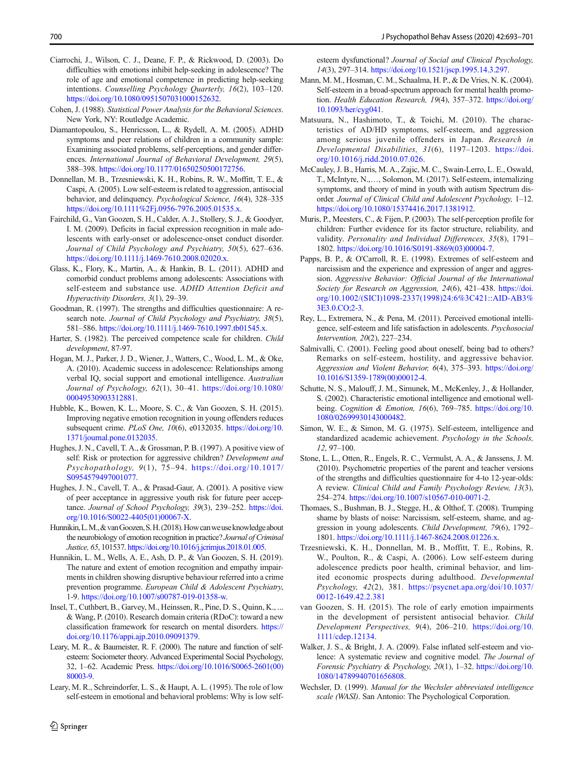- <span id="page-7-0"></span>Ciarrochi, J., Wilson, C. J., Deane, F. P., & Rickwood, D. (2003). Do difficulties with emotions inhibit help-seeking in adolescence? The role of age and emotional competence in predicting help-seeking intentions. Counselling Psychology Quarterly, 16(2), 103–120. <https://doi.org/10.1080/0951507031000152632>.
- Cohen, J. (1988). Statistical Power Analysis for the Behavioral Sciences. New York, NY: Routledge Academic.
- Diamantopoulou, S., Henricsson, L., & Rydell, A. M. (2005). ADHD symptoms and peer relations of children in a community sample: Examining associated problems, self-perceptions, and gender differences. International Journal of Behavioral Development, 29(5), 388–398. [https://doi.org/10.1177/01650250500172756](http://creativecommons.org/licenses/by/4.0/).
- Donnellan, M. B., Trzesniewski, K. H., Robins, R. W., Moffitt, T. E., & Caspi, A. (2005). Low self-esteem is related to aggression, antisocial behavior, and delinquency. Psychological Science, 16(4), 328–335 [https://doi.org/10.1111%2Fj.0956-7976.2005.01535.x.](http://creativecommons.org/licenses/by/4.0/)
- Fairchild, G., Van Goozen, S. H., Calder, A. J., Stollery, S. J., & Goodyer, I. M. (2009). Deficits in facial expression recognition in male adolescents with early-onset or adolescence-onset conduct disorder. Journal of Child Psychology and Psychiatry, 50(5), 627–636. <https://doi.org/10.1111/j.1469-7610.2008.02020.x>.
- Glass, K., Flory, K., Martin, A., & Hankin, B. L. (2011). ADHD and comorbid conduct problems among adolescents: Associations with self-esteem and substance use. ADHD Attention Deficit and Hyperactivity Disorders, 3(1), 29–39.
- Goodman, R. (1997). The strengths and difficulties questionnaire: A research note. Journal of Child Psychology and Psychiatry, 38(5), 581–586. [https://doi.org/10.1111/j.1469-7610.1997.tb01545.x.](https://doi.org/10.1111/j.1469-7610.1997.tb01545.x)
- Harter, S. (1982). The perceived competence scale for children. Child development, 87-97.
- Hogan, M. J., Parker, J. D., Wiener, J., Watters, C., Wood, L. M., & Oke, A. (2010). Academic success in adolescence: Relationships among verbal IQ, social support and emotional intelligence. Australian Journal of Psychology, 62(1), 30–41. [https://doi.org/10.1080/](https://doi.org/10.1080/00049530903312881) [00049530903312881](https://doi.org/10.1080/00049530903312881).
- Hubble, K., Bowen, K. L., Moore, S. C., & Van Goozen, S. H. (2015). Improving negative emotion recognition in young offenders reduces subsequent crime. PLoS One, 10(6), e0132035. [https://doi.org/10.](https://doi.org/10.1371/journal.pone.0132035) [1371/journal.pone.0132035.](https://doi.org/10.1371/journal.pone.0132035)
- Hughes, J. N., Cavell, T. A., & Grossman, P. B. (1997). A positive view of self: Risk or protection for aggressive children? Development and Psychopathology, 9(1), 75–94. [https://doi.org/10.1017/](https://doi.org/10.1017/S0954579497001077) [S0954579497001077.](https://doi.org/10.1017/S0954579497001077)
- Hughes, J. N., Cavell, T. A., & Prasad-Gaur, A. (2001). A positive view of peer acceptance in aggressive youth risk for future peer acceptance. Journal of School Psychology, 39(3), 239-252. [https://doi.](https://doi.org/10.1016/S0022-4405(01)00067-X) [org/10.1016/S0022-4405\(01\)00067-X](https://doi.org/10.1016/S0022-4405(01)00067-X).
- Hunnikin,L.M.,&vanGoozen,S.H. (2018).Howcanweuseknowledgeabout the neurobiology of emotion recognition in practice? Journal of Criminal Justice, 65, 101537. [https://doi.org/10.1016/j.jcrimjus.2018.01.005.](https://doi.org/10.1016/j.jcrimjus.2018.01.005)
- Hunnikin, L. M., Wells, A. E., Ash, D. P., & Van Goozen, S. H. (2019). The nature and extent of emotion recognition and empathy impairments in children showing disruptive behaviour referred into a crime prevention programme. European Child & Adolescent Psychiatry, 1-9. [https://doi.org/10.1007/s00787-019-01358-w.](https://doi.org/10.1007/s00787-019-01358-w)
- Insel, T., Cuthbert, B., Garvey, M., Heinssen, R., Pine, D. S., Quinn, K., ... & Wang, P. (2010). Research domain criteria (RDoC): toward a new classification framework for research on mental disorders. [https://](https://doi.org/10.1176/appi.ajp.2010.09091379) [doi.org/10.1176/appi.ajp.2010.09091379.](https://doi.org/10.1176/appi.ajp.2010.09091379)
- Leary, M. R., & Baumeister, R. F. (2000). The nature and function of selfesteem: Sociometer theory. Advanced Experimental Social Psychology, 32, 1–62. Academic Press. [https://doi.org/10.1016/S0065-2601\(00\)](https://doi.org/10.1016/S0065-2601(00)80003-9) [80003-9.](https://doi.org/10.1016/S0065-2601(00)80003-9)
- Leary, M. R., Schreindorfer, L. S., & Haupt, A. L. (1995). The role of low self-esteem in emotional and behavioral problems: Why is low self-

esteem dysfunctional? Journal of Social and Clinical Psychology, 14(3), 297–314. [https://doi.org/10.1521/jscp.1995.14.3.297.](https://doi.org/10.1521/jscp.1995.14.3.297)

- Mann, M. M., Hosman, C. M., Schaalma, H. P., & De Vries, N. K. (2004). Self-esteem in a broad-spectrum approach for mental health promotion. Health Education Research, 19(4), 357-372. [https://doi.org/](https://doi.org/10.1093/her/cyg041) [10.1093/her/cyg041.](https://doi.org/10.1093/her/cyg041)
- Matsuura, N., Hashimoto, T., & Toichi, M. (2010). The characteristics of AD/HD symptoms, self-esteem, and aggression among serious juvenile offenders in Japan. Research in Developmental Disabilities, 31(6), 1197–1203. [https://doi.](https://doi.org/10.1016/j.ridd.2010.07.026) [org/10.1016/j.ridd.2010.07.026.](https://doi.org/10.1016/j.ridd.2010.07.026)
- McCauley, J. B., Harris, M. A., Zajic, M. C., Swain-Lerro, L. E., Oswald, T., McIntyre, N.,…, Solomon, M. (2017). Self-esteem, internalizing symptoms, and theory of mind in youth with autism Spectrum disorder. Journal of Clinical Child and Adolescent Psychology, 1–12. [https://doi.org/10.1080/15374416.2017.1381912.](https://doi.org/10.1080/15374416.2017.1381912)
- Muris, P., Meesters, C., & Fijen, P. (2003). The self-perception profile for children: Further evidence for its factor structure, reliability, and validity. Personality and Individual Differences, 35(8), 1791– 1802. [https://doi.org/10.1016/S0191-8869\(03\)00004-7](https://doi.org/10.1016/S0191-8869(03)00004-7).
- Papps, B. P., & O'Carroll, R. E. (1998). Extremes of self-esteem and narcissism and the experience and expression of anger and aggression. Aggressive Behavior: Official Journal of the International Society for Research on Aggression, 24(6), 421–438. [https://doi.](https://doi.org/10.1002/(SICI)1098-2337(1998)24:6%3C421::AID-AB3%3E3.0.CO;2-3) [org/10.1002/\(SICI\)1098-2337\(1998\)24:6%3C421::AID-AB3%](https://doi.org/10.1002/(SICI)1098-2337(1998)24:6%3C421::AID-AB3%3E3.0.CO;2-3) [3E3.0.CO;2-3](https://doi.org/10.1002/(SICI)1098-2337(1998)24:6%3C421::AID-AB3%3E3.0.CO;2-3).
- Rey, L., Extremera, N., & Pena, M. (2011). Perceived emotional intelligence, self-esteem and life satisfaction in adolescents. Psychosocial Intervention, 20(2), 227–234.
- Salmivalli, C. (2001). Feeling good about oneself, being bad to others? Remarks on self-esteem, hostility, and aggressive behavior. Aggression and Violent Behavior, 6(4), 375–393. [https://doi.org/](https://doi.org/10.1016/S1359-1789(00)00012-4) [10.1016/S1359-1789\(00\)00012-4](https://doi.org/10.1016/S1359-1789(00)00012-4).
- Schutte, N. S., Malouff, J. M., Simunek, M., McKenley, J., & Hollander, S. (2002). Characteristic emotional intelligence and emotional wellbeing. Cognition & Emotion, 16(6), 769–785. [https://doi.org/10.](https://doi.org/10.1080/02699930143000482) [1080/02699930143000482](https://doi.org/10.1080/02699930143000482).
- Simon, W. E., & Simon, M. G. (1975). Self-esteem, intelligence and standardized academic achievement. Psychology in the Schools, 12, 97–100.
- Stone, L. L., Otten, R., Engels, R. C., Vermulst, A. A., & Janssens, J. M. (2010). Psychometric properties of the parent and teacher versions of the strengths and difficulties questionnaire for 4-to 12-year-olds: A review. Clinical Child and Family Psychology Review, 13(3), 254–274. <https://doi.org/10.1007/s10567-010-0071-2>.
- Thomaes, S., Bushman, B. J., Stegge, H., & Olthof, T. (2008). Trumping shame by blasts of noise: Narcissism, self-esteem, shame, and aggression in young adolescents. Child Development, 79(6), 1792– 1801. <https://doi.org/10.1111/j.1467-8624.2008.01226.x>.
- Trzesniewski, K. H., Donnellan, M. B., Moffitt, T. E., Robins, R. W., Poulton, R., & Caspi, A. (2006). Low self-esteem during adolescence predicts poor health, criminal behavior, and limited economic prospects during adulthood. Developmental Psychology, 42(2), 381. [https://psycnet.apa.org/doi/10.1037/](http://creativecommons.org/licenses/by/4.0/) [0012-1649.42.2.381](http://creativecommons.org/licenses/by/4.0/)
- van Goozen, S. H. (2015). The role of early emotion impairments in the development of persistent antisocial behavior. Child Development Perspectives, 9(4), 206–210. [https://doi.org/10.](https://doi.org/10.1111/cdep.12134) [1111/cdep.12134](https://doi.org/10.1111/cdep.12134).
- Walker, J. S., & Bright, J. A. (2009). False inflated self-esteem and violence: A systematic review and cognitive model. The Journal of Forensic Psychiatry & Psychology, 20(1), 1–32. [https://doi.org/10.](https://doi.org/10.1080/14789940701656808) [1080/14789940701656808](https://doi.org/10.1080/14789940701656808).
- Wechsler, D. (1999). Manual for the Wechsler abbreviated intelligence scale (WASI). San Antonio: The Psychological Corporation.